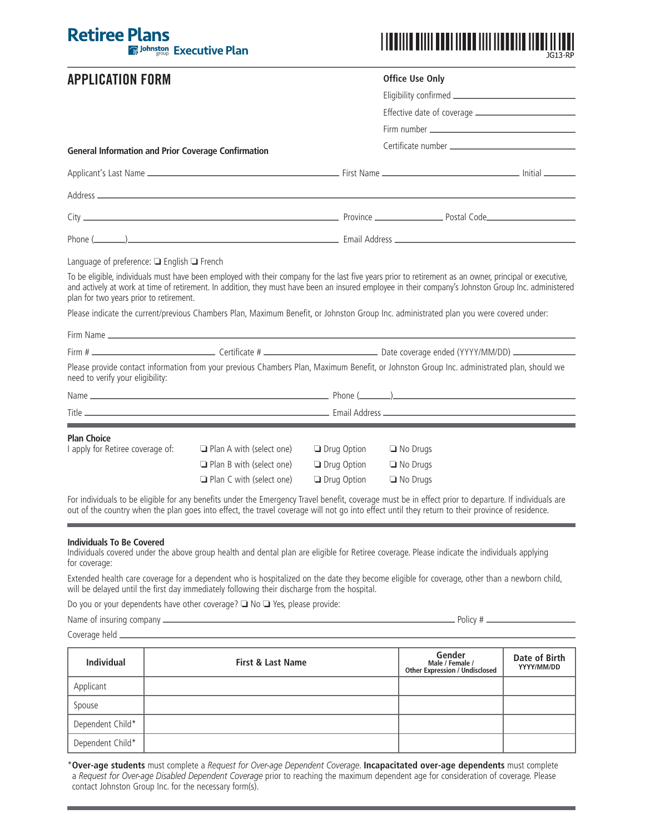## **Retiree Plans E** Johnston Executive Plan

# **APPLICATION FORM**



| APPLICATION FORM                                                                                                                                                                                                                                                                                                                                           |                                 | <b>Office Use Only</b> |                 |  |
|------------------------------------------------------------------------------------------------------------------------------------------------------------------------------------------------------------------------------------------------------------------------------------------------------------------------------------------------------------|---------------------------------|------------------------|-----------------|--|
|                                                                                                                                                                                                                                                                                                                                                            |                                 |                        |                 |  |
|                                                                                                                                                                                                                                                                                                                                                            |                                 |                        |                 |  |
|                                                                                                                                                                                                                                                                                                                                                            |                                 |                        |                 |  |
| <b>General Information and Prior Coverage Confirmation</b>                                                                                                                                                                                                                                                                                                 |                                 |                        |                 |  |
|                                                                                                                                                                                                                                                                                                                                                            |                                 |                        |                 |  |
|                                                                                                                                                                                                                                                                                                                                                            |                                 |                        |                 |  |
|                                                                                                                                                                                                                                                                                                                                                            |                                 |                        |                 |  |
|                                                                                                                                                                                                                                                                                                                                                            |                                 |                        |                 |  |
| Language of preference: $\Box$ English $\Box$ French                                                                                                                                                                                                                                                                                                       |                                 |                        |                 |  |
| To be eligible, individuals must have been employed with their company for the last five years prior to retirement as an owner, principal or executive,<br>and actively at work at time of retirement. In addition, they must have been an insured employee in their company's Johnston Group Inc. administered<br>plan for two years prior to retirement. |                                 |                        |                 |  |
| Please indicate the current/previous Chambers Plan, Maximum Benefit, or Johnston Group Inc. administrated plan you were covered under:                                                                                                                                                                                                                     |                                 |                        |                 |  |
|                                                                                                                                                                                                                                                                                                                                                            |                                 |                        |                 |  |
|                                                                                                                                                                                                                                                                                                                                                            |                                 |                        |                 |  |
| Please provide contact information from your previous Chambers Plan, Maximum Benefit, or Johnston Group Inc. administrated plan, should we<br>need to verify your eligibility:                                                                                                                                                                             |                                 |                        |                 |  |
|                                                                                                                                                                                                                                                                                                                                                            |                                 |                        |                 |  |
|                                                                                                                                                                                                                                                                                                                                                            |                                 |                        |                 |  |
| <b>Plan Choice</b>                                                                                                                                                                                                                                                                                                                                         |                                 |                        |                 |  |
| I apply for Retiree coverage of:                                                                                                                                                                                                                                                                                                                           | $\Box$ Plan A with (select one) | <b>Drug Option</b>     | $\Box$ No Drugs |  |
|                                                                                                                                                                                                                                                                                                                                                            | $\Box$ Plan B with (select one) | <b>Drug Option</b>     | $\Box$ No Drugs |  |
|                                                                                                                                                                                                                                                                                                                                                            | $\Box$ Plan C with (select one) | <b>Drug Option</b>     | $\Box$ No Drugs |  |

For individuals to be eligible for any benefits under the Emergency Travel benefit, coverage must be in effect prior to departure. If individuals are out of the country when the plan goes into effect, the travel coverage will not go into effect until they return to their province of residence.

#### **Individuals To Be Covered**

Individuals covered under the above group health and dental plan are eligible for Retiree coverage. Please indicate the individuals applying for coverage:

Extended health care coverage for a dependent who is hospitalized on the date they become eligible for coverage, other than a newborn child, will be delayed until the first day immediately following their discharge from the hospital.

Do you or your dependents have other coverage?  $\square$  No  $\square$  Yes, please provide:

Name of insuring company Policy #

Coverage held

| <b>Individual</b> | <b>First &amp; Last Name</b> | Gender<br>Male / Female /<br><b>Other Expression / Undisclosed</b> | Date of Birth<br>YYYY/MM/DD |
|-------------------|------------------------------|--------------------------------------------------------------------|-----------------------------|
| Applicant         |                              |                                                                    |                             |
| Spouse            |                              |                                                                    |                             |
| Dependent Child*  |                              |                                                                    |                             |
| Dependent Child*  |                              |                                                                    |                             |

\***Over-age students** must complete a *Request for Over-age Dependent Coverage*. **Incapacitated over-age dependents** must complete a *Request for Over-age Disabled Dependent Coverage* prior to reaching the maximum dependent age for consideration of coverage. Please contact Johnston Group Inc. for the necessary form(s).